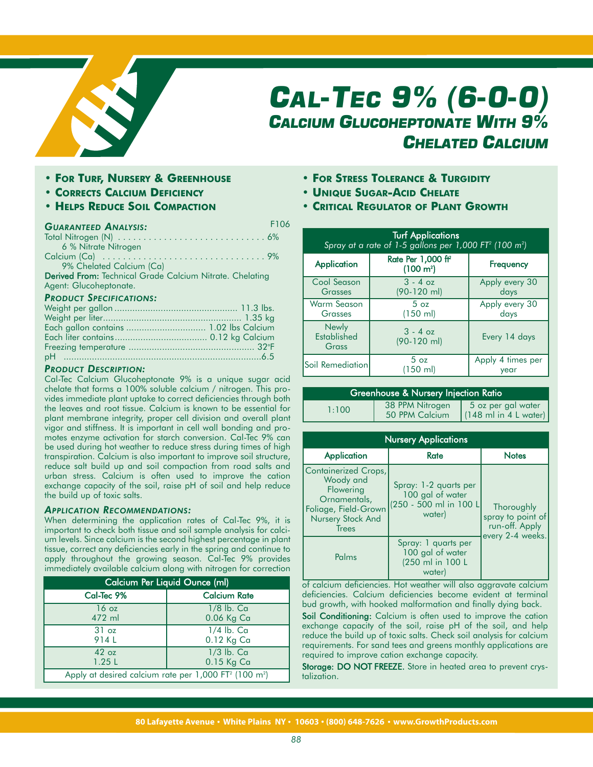

## *CAL-TEC 9% (6-0-0) CALCIUM GLUCOHEPTONATE WITH 9% CHELATED CALCIUM*

- **• FOR TURF, NURSERY & GREENHOUSE**
- **• CORRECTS CALCIUM DEFICIENCY**
- **• HELPS REDUCE SOIL COMPACTION**

## *GUARANTEED ANALYSIS:*

| 6 % Nitrate Nitrogen                                     |  |
|----------------------------------------------------------|--|
|                                                          |  |
| 9% Chelated Calcium (Ca)                                 |  |
| Derived From: Technical Grade Calcium Nitrate. Chelating |  |
| Agent: Glucoheptonate.                                   |  |
| <b>PRODUCT SPECIFICATIONS:</b>                           |  |

## *PRODUCT DESCRIPTION:*

Cal-Tec Calcium Glucoheptonate 9% is a unique sugar acid chelate that forms a 100% soluble calcium / nitrogen. This provides immediate plant uptake to correct deficiencies through both the leaves and root tissue. Calcium is known to be essential for plant membrane integrity, proper cell division and overall plant vigor and stiffness. It is important in cell wall bonding and promotes enzyme activation for starch conversion. Cal-Tec 9% can be used during hot weather to reduce stress during times of high transpiration. Calcium is also important to improve soil structure, reduce salt build up and soil compaction from road salts and urban stress. Calcium is often used to improve the cation exchange capacity of the soil, raise pH of soil and help reduce the build up of toxic salts.

## *APPLICATION RECOMMENDATIONS:*

When determining the application rates of Cal-Tec 9%, it is important to check both tissue and soil sample analysis for calcium levels. Since calcium is the second highest percentage in plant tissue, correct any deficiencies early in the spring and continue to apply throughout the growing season. Cal-Tec 9% provides immediately available calcium along with nitrogen for correction

| Calcium Per Liquid Ounce (ml)                                                 |                     |
|-------------------------------------------------------------------------------|---------------------|
| Cal-Tec 9%                                                                    | <b>Calcium Rate</b> |
| 16 <sub>oz</sub>                                                              | 1/8 lb. Ca          |
| 472 ml                                                                        | 0.06 Kg Ca          |
| 31 oz                                                                         | $1/4$ lb. Ca        |
| 914L                                                                          | 0.12 Kg Ca          |
| 42 oz                                                                         | $1/3$ lb. Ca        |
| 1.25L                                                                         | $0.15$ Kg Ca        |
| Apply at desired calcium rate per 1,000 FT <sup>2</sup> (100 m <sup>2</sup> ) |                     |

- **• FOR STRESS TOLERANCE & TURGIDITY**
- **• UNIQUE SUGAR-ACID CHELATE**

F106

**• CRITICAL REGULATOR OF PLANT GROWTH**

| <b>Turf Applications</b><br>Spray at a rate of 1-5 gallons per 1,000 FT <sup>2</sup> (100 m <sup>2</sup> ) |                                                         |                           |
|------------------------------------------------------------------------------------------------------------|---------------------------------------------------------|---------------------------|
| Application                                                                                                | Rate Per 1,000 ft <sup>2</sup><br>(100 m <sup>2</sup> ) | Frequency                 |
| Cool Season<br>Grasses                                                                                     | $3 - 4$ oz<br>$(90-120$ ml)                             | Apply every 30<br>days    |
| <b>Warm Season</b><br>Grasses                                                                              | 5 <sub>oz</sub><br>$(150 \text{ ml})$                   | Apply every 30<br>days    |
| <b>Newly</b><br><b>Established</b><br>Grass                                                                | $3 - 4$ oz<br>$(90-120$ ml)                             | Every 14 days             |
| Soil Remediation                                                                                           | 5 <sub>oz</sub><br>$(150 \text{ ml})$                   | Apply 4 times per<br>year |

| <b>Greenhouse &amp; Nursery Injection Ratio</b> |                                   |                                                                |
|-------------------------------------------------|-----------------------------------|----------------------------------------------------------------|
| 1:100                                           | 38 PPM Nitrogen<br>50 PPM Calcium | 5 oz per gal water<br>$(148 \text{ ml in } 4 \text{ L water})$ |

| <b>Nursery Applications</b>                                                                                                 |                                                                               |                                                                       |
|-----------------------------------------------------------------------------------------------------------------------------|-------------------------------------------------------------------------------|-----------------------------------------------------------------------|
| <b>Application</b>                                                                                                          | Rate                                                                          | <b>Notes</b>                                                          |
| Containerized Crops,<br>Woody and<br>Flowering<br>Ornamentals,<br>Foliage, Field-Grown<br>Nursery Stock And<br><b>Trees</b> | Spray: 1-2 quarts per<br>100 gal of water<br>(250 - 500 ml in 100 L<br>water) | Thoroughly<br>spray to point of<br>run-off. Apply<br>every 2-4 weeks. |
| Palms                                                                                                                       | Spray: 1 quarts per<br>100 gal of water<br>(250 ml in 100 L<br>water)         |                                                                       |

of calcium deficiencies. Hot weather will also aggravate calcium deficiencies. Calcium deficiencies become evident at terminal bud growth, with hooked malformation and finally dying back.

Soil Conditioning: Calcium is often used to improve the cation exchange capacity of the soil, raise pH of the soil, and help reduce the build up of toxic salts. Check soil analysis for calcium requirements. For sand tees and greens monthly applications are required to improve cation exchange capacity.

Storage: DO NOT FREEZE. Store in heated area to prevent crystalization.